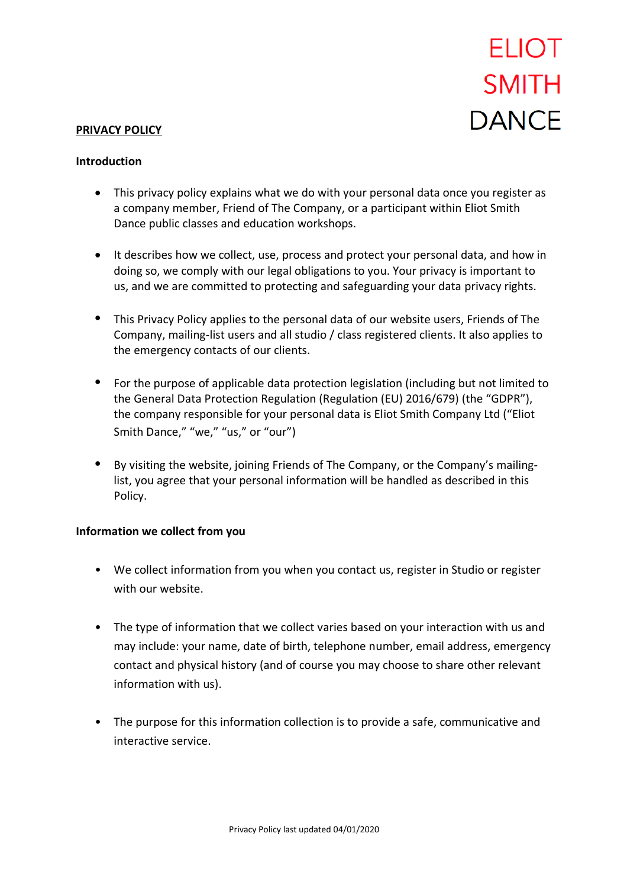# **ELIOT SMITH DANCF**

#### **PRIVACY POLICY**

#### **Introduction**

- This privacy policy explains what we do with your personal data once you register as a company member, Friend of The Company, or a participant within Eliot Smith Dance public classes and education workshops.
- It describes how we collect, use, process and protect your personal data, and how in doing so, we comply with our legal obligations to you. Your privacy is important to us, and we are committed to protecting and safeguarding your data privacy rights.
- This Privacy Policy applies to the personal data of our website users, Friends of The Company, mailing-list users and all studio / class registered clients. It also applies to the emergency contacts of our clients.
- For the purpose of applicable data protection legislation (including but not limited to the General Data Protection Regulation (Regulation (EU) 2016/679) (the "GDPR"), the company responsible for your personal data is Eliot Smith Company Ltd ("Eliot Smith Dance," "we," "us," or "our")
- By visiting the website, joining Friends of The Company, or the Company's mailinglist, you agree that your personal information will be handled as described in this Policy.

## **Information we collect from you**

- We collect information from you when you contact us, register in Studio or register with our website.
- The type of information that we collect varies based on your interaction with us and may include: your name, date of birth, telephone number, email address, emergency contact and physical history (and of course you may choose to share other relevant information with us).
- The purpose for this information collection is to provide a safe, communicative and interactive service.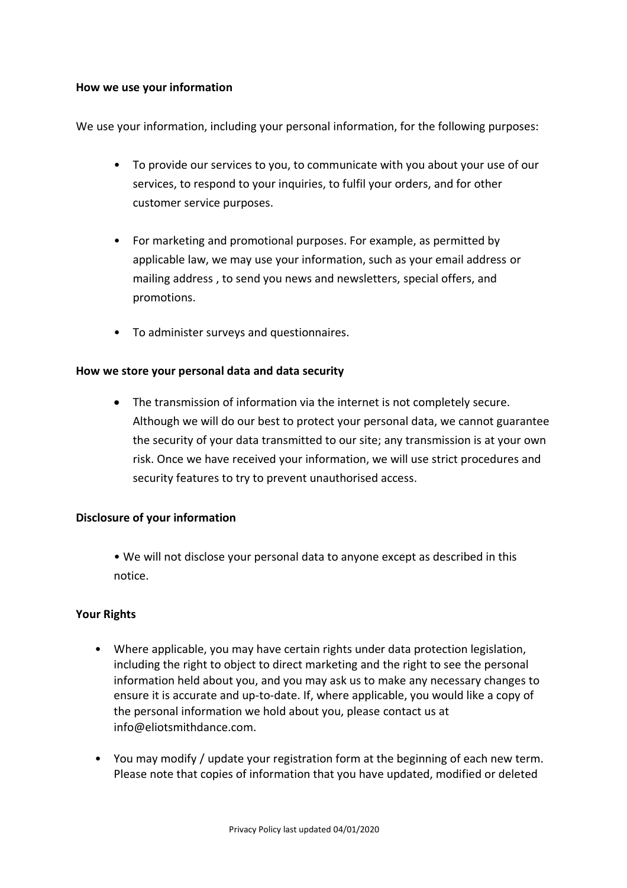## **How we use your information**

We use your information, including your personal information, for the following purposes:

- To provide our services to you, to communicate with you about your use of our services, to respond to your inquiries, to fulfil your orders, and for other customer service purposes.
- For marketing and promotional purposes. For example, as permitted by applicable law, we may use your information, such as your email address or mailing address , to send you news and newsletters, special offers, and promotions.
- To administer surveys and questionnaires.

## **How we store your personal data and data security**

• The transmission of information via the internet is not completely secure. Although we will do our best to protect your personal data, we cannot guarantee the security of your data transmitted to our site; any transmission is at your own risk. Once we have received your information, we will use strict procedures and security features to try to prevent unauthorised access.

## **Disclosure of your information**

• We will not disclose your personal data to anyone except as described in this notice.

## **Your Rights**

- Where applicable, you may have certain rights under data protection legislation, including the right to object to direct marketing and the right to see the personal information held about you, and you may ask us to make any necessary changes to ensure it is accurate and up-to-date. If, where applicable, you would like a copy of the personal information we hold about you, please contact us at info@eliotsmithdance.com.
- You may modify / update your registration form at the beginning of each new term. Please note that copies of information that you have updated, modified or deleted